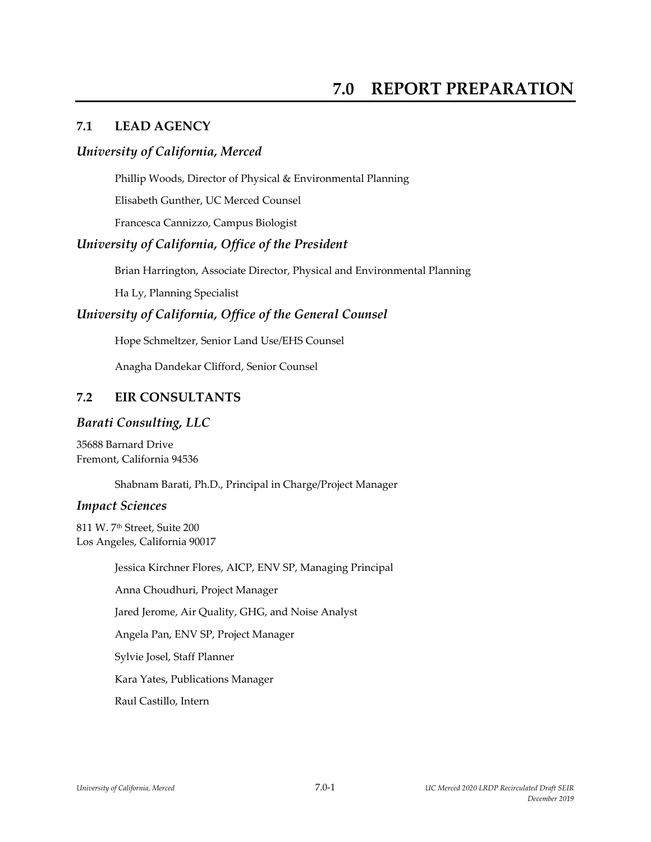# **7.1 LEAD AGENCY**

## *University of California, Merced*

Phillip Woods, Director of Physical & Environmental Planning

Elisabeth Gunther, UC Merced Counsel

Francesca Cannizzo, Campus Biologist

# *University of California, Office of the President*

Brian Harrington, Associate Director, Physical and Environmental Planning

Ha Ly, Planning Specialist

## *University of California, Office of the General Counsel*

Hope Schmeltzer, Senior Land Use/EHS Counsel

Anagha Dandekar Clifford, Senior Counsel

## **7.2 EIR CONSULTANTS**

#### *Barati Consulting, LLC*

35688 Barnard Drive Fremont, California 94536

Shabnam Barati, Ph.D., Principal in Charge/Project Manager

#### *Impact Sciences*

811 W. 7th Street, Suite 200 Los Angeles, California 90017

Jessica Kirchner Flores, AICP, ENV SP, Managing Principal

Anna Choudhuri, Project Manager

Jared Jerome, Air Quality, GHG, and Noise Analyst

Angela Pan, ENV SP, Project Manager

Sylvie Josel, Staff Planner

Kara Yates, Publications Manager

Raul Castillo, Intern